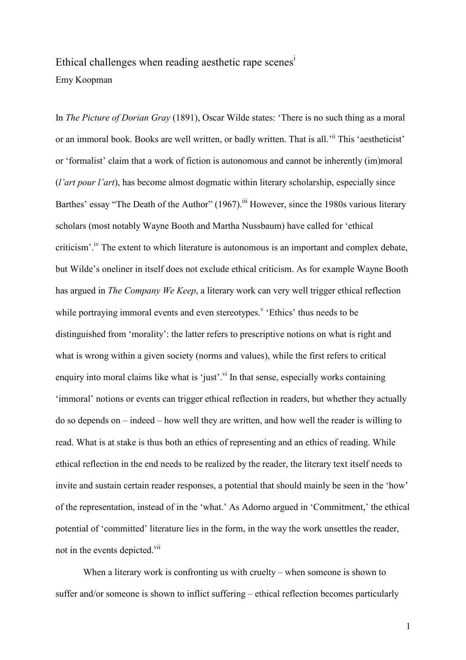## Ethical challenges when reading aesthetic rape scenes<sup>i</sup> Emy Koopman

In The Picture of Dorian Gray (1891), Oscar Wilde states: 'There is no such thing as a moral or an immoral book. Books are well written, or badly written. That is all.'ii This 'aestheticist' or 'formalist' claim that a work of fiction is autonomous and cannot be inherently (im)moral (l'art pour l'art), has become almost dogmatic within literary scholarship, especially since Barthes' essay "The Death of the Author" (1967).<sup>iii</sup> However, since the 1980s various literary scholars (most notably Wayne Booth and Martha Nussbaum) have called for 'ethical criticism'.<sup>iv</sup> The extent to which literature is autonomous is an important and complex debate, but Wilde's oneliner in itself does not exclude ethical criticism. As for example Wayne Booth has argued in The Company We Keep, a literary work can very well trigger ethical reflection while portraying immoral events and even stereotypes.<sup>v</sup> 'Ethics' thus needs to be distinguished from 'morality': the latter refers to prescriptive notions on what is right and what is wrong within a given society (norms and values), while the first refers to critical enquiry into moral claims like what is 'just'. $\overline{v}$ ' In that sense, especially works containing 'immoral' notions or events can trigger ethical reflection in readers, but whether they actually do so depends on – indeed – how well they are written, and how well the reader is willing to read. What is at stake is thus both an ethics of representing and an ethics of reading. While ethical reflection in the end needs to be realized by the reader, the literary text itself needs to invite and sustain certain reader responses, a potential that should mainly be seen in the 'how' of the representation, instead of in the 'what.' As Adorno argued in 'Commitment,' the ethical potential of 'committed' literature lies in the form, in the way the work unsettles the reader, not in the events depicted.<sup>vii</sup>

When a literary work is confronting us with cruelty – when someone is shown to suffer and/or someone is shown to inflict suffering – ethical reflection becomes particularly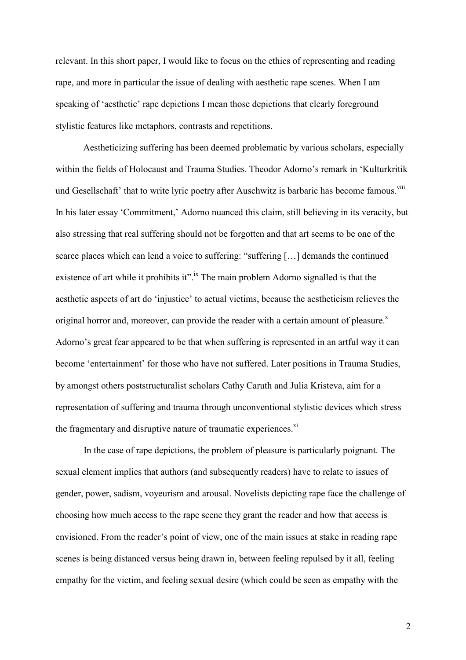relevant. In this short paper, I would like to focus on the ethics of representing and reading rape, and more in particular the issue of dealing with aesthetic rape scenes. When I am speaking of 'aesthetic' rape depictions I mean those depictions that clearly foreground stylistic features like metaphors, contrasts and repetitions.

Aestheticizing suffering has been deemed problematic by various scholars, especially within the fields of Holocaust and Trauma Studies. Theodor Adorno's remark in 'Kulturkritik und Gesellschaft' that to write lyric poetry after Auschwitz is barbaric has become famous.<sup>viii</sup> In his later essay 'Commitment,' Adorno nuanced this claim, still believing in its veracity, but also stressing that real suffering should not be forgotten and that art seems to be one of the scarce places which can lend a voice to suffering: "suffering [...] demands the continued existence of art while it prohibits it".<sup>ix</sup> The main problem Adorno signalled is that the aesthetic aspects of art do 'injustice' to actual victims, because the aestheticism relieves the original horror and, moreover, can provide the reader with a certain amount of pleasure.<sup>x</sup> Adorno's great fear appeared to be that when suffering is represented in an artful way it can become 'entertainment' for those who have not suffered. Later positions in Trauma Studies, by amongst others poststructuralist scholars Cathy Caruth and Julia Kristeva, aim for a representation of suffering and trauma through unconventional stylistic devices which stress the fragmentary and disruptive nature of traumatic experiences.<sup>xi</sup>

In the case of rape depictions, the problem of pleasure is particularly poignant. The sexual element implies that authors (and subsequently readers) have to relate to issues of gender, power, sadism, voyeurism and arousal. Novelists depicting rape face the challenge of choosing how much access to the rape scene they grant the reader and how that access is envisioned. From the reader's point of view, one of the main issues at stake in reading rape scenes is being distanced versus being drawn in, between feeling repulsed by it all, feeling empathy for the victim, and feeling sexual desire (which could be seen as empathy with the

2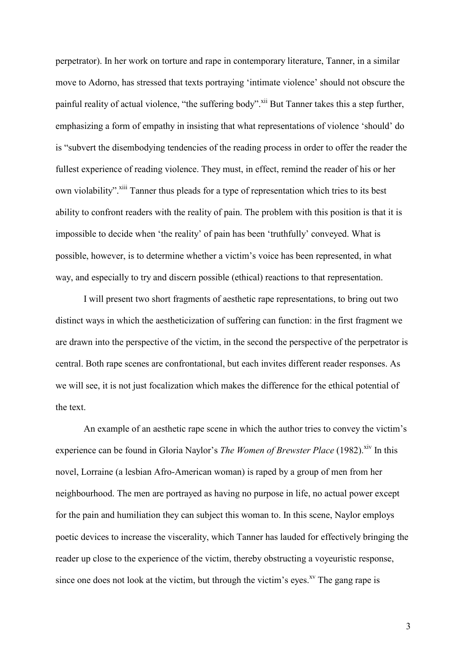perpetrator). In her work on torture and rape in contemporary literature, Tanner, in a similar move to Adorno, has stressed that texts portraying 'intimate violence' should not obscure the painful reality of actual violence, "the suffering body".<sup>xii</sup> But Tanner takes this a step further, emphasizing a form of empathy in insisting that what representations of violence 'should' do is "subvert the disembodying tendencies of the reading process in order to offer the reader the fullest experience of reading violence. They must, in effect, remind the reader of his or her own violability".<sup>xiii</sup> Tanner thus pleads for a type of representation which tries to its best ability to confront readers with the reality of pain. The problem with this position is that it is impossible to decide when 'the reality' of pain has been 'truthfully' conveyed. What is possible, however, is to determine whether a victim's voice has been represented, in what way, and especially to try and discern possible (ethical) reactions to that representation.

I will present two short fragments of aesthetic rape representations, to bring out two distinct ways in which the aestheticization of suffering can function: in the first fragment we are drawn into the perspective of the victim, in the second the perspective of the perpetrator is central. Both rape scenes are confrontational, but each invites different reader responses. As we will see, it is not just focalization which makes the difference for the ethical potential of the text.

An example of an aesthetic rape scene in which the author tries to convey the victim's experience can be found in Gloria Naylor's *The Women of Brewster Place* (1982).<sup>xiv</sup> In this novel, Lorraine (a lesbian Afro-American woman) is raped by a group of men from her neighbourhood. The men are portrayed as having no purpose in life, no actual power except for the pain and humiliation they can subject this woman to. In this scene, Naylor employs poetic devices to increase the viscerality, which Tanner has lauded for effectively bringing the reader up close to the experience of the victim, thereby obstructing a voyeuristic response, since one does not look at the victim, but through the victim's eyes.<sup> $x<sub>v</sub>$ </sup> The gang rape is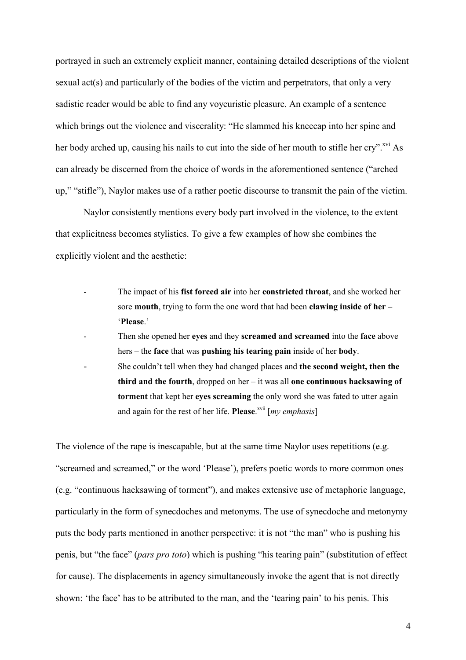portrayed in such an extremely explicit manner, containing detailed descriptions of the violent sexual act(s) and particularly of the bodies of the victim and perpetrators, that only a very sadistic reader would be able to find any voyeuristic pleasure. An example of a sentence which brings out the violence and viscerality: "He slammed his kneecap into her spine and her body arched up, causing his nails to cut into the side of her mouth to stifle her cry".<sup>xvi</sup> As can already be discerned from the choice of words in the aforementioned sentence ("arched up," "stifle"), Naylor makes use of a rather poetic discourse to transmit the pain of the victim.

Naylor consistently mentions every body part involved in the violence, to the extent that explicitness becomes stylistics. To give a few examples of how she combines the explicitly violent and the aesthetic:

- The impact of his fist forced air into her constricted throat, and she worked her sore mouth, trying to form the one word that had been clawing inside of her – 'Please.'
- Then she opened her eyes and they screamed and screamed into the face above hers – the face that was pushing his tearing pain inside of her body.
- She couldn't tell when they had changed places and the second weight, then the third and the fourth, dropped on her  $-$  it was all one continuous hacksawing of torment that kept her eyes screaming the only word she was fated to utter again and again for the rest of her life. Please.<sup>xvii</sup> [*my emphasis*]

The violence of the rape is inescapable, but at the same time Naylor uses repetitions (e.g. "screamed and screamed," or the word 'Please'), prefers poetic words to more common ones (e.g. "continuous hacksawing of torment"), and makes extensive use of metaphoric language, particularly in the form of synecdoches and metonyms. The use of synecdoche and metonymy puts the body parts mentioned in another perspective: it is not "the man" who is pushing his penis, but "the face" (pars pro toto) which is pushing "his tearing pain" (substitution of effect for cause). The displacements in agency simultaneously invoke the agent that is not directly shown: 'the face' has to be attributed to the man, and the 'tearing pain' to his penis. This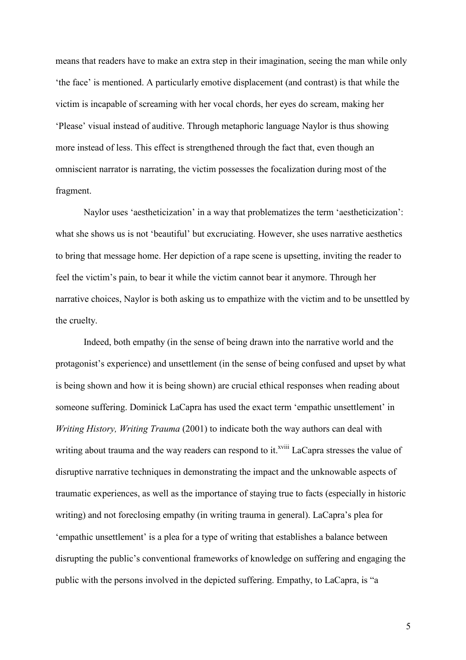means that readers have to make an extra step in their imagination, seeing the man while only 'the face' is mentioned. A particularly emotive displacement (and contrast) is that while the victim is incapable of screaming with her vocal chords, her eyes do scream, making her 'Please' visual instead of auditive. Through metaphoric language Naylor is thus showing more instead of less. This effect is strengthened through the fact that, even though an omniscient narrator is narrating, the victim possesses the focalization during most of the fragment.

Naylor uses 'aestheticization' in a way that problematizes the term 'aestheticization': what she shows us is not 'beautiful' but excruciating. However, she uses narrative aesthetics to bring that message home. Her depiction of a rape scene is upsetting, inviting the reader to feel the victim's pain, to bear it while the victim cannot bear it anymore. Through her narrative choices, Naylor is both asking us to empathize with the victim and to be unsettled by the cruelty.

Indeed, both empathy (in the sense of being drawn into the narrative world and the protagonist's experience) and unsettlement (in the sense of being confused and upset by what is being shown and how it is being shown) are crucial ethical responses when reading about someone suffering. Dominick LaCapra has used the exact term 'empathic unsettlement' in Writing History, Writing Trauma (2001) to indicate both the way authors can deal with writing about trauma and the way readers can respond to it.<sup>xviii</sup> LaCapra stresses the value of disruptive narrative techniques in demonstrating the impact and the unknowable aspects of traumatic experiences, as well as the importance of staying true to facts (especially in historic writing) and not foreclosing empathy (in writing trauma in general). LaCapra's plea for 'empathic unsettlement' is a plea for a type of writing that establishes a balance between disrupting the public's conventional frameworks of knowledge on suffering and engaging the public with the persons involved in the depicted suffering. Empathy, to LaCapra, is "a

5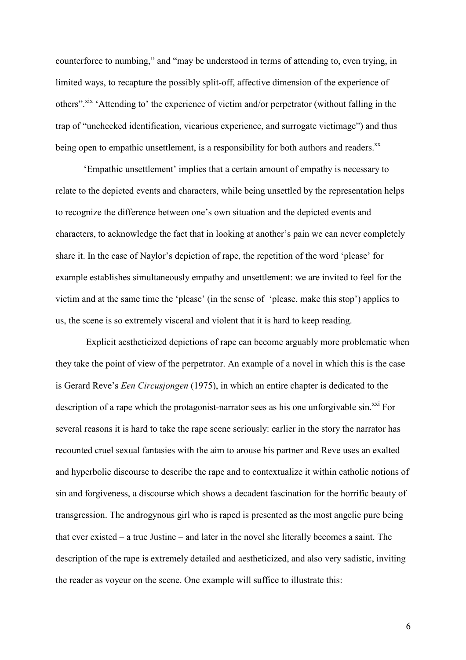counterforce to numbing," and "may be understood in terms of attending to, even trying, in limited ways, to recapture the possibly split-off, affective dimension of the experience of others".<sup>xix</sup> 'Attending to' the experience of victim and/or perpetrator (without falling in the trap of "unchecked identification, vicarious experience, and surrogate victimage") and thus being open to empathic unsettlement, is a responsibility for both authors and readers.<sup>xx</sup>

'Empathic unsettlement' implies that a certain amount of empathy is necessary to relate to the depicted events and characters, while being unsettled by the representation helps to recognize the difference between one's own situation and the depicted events and characters, to acknowledge the fact that in looking at another's pain we can never completely share it. In the case of Naylor's depiction of rape, the repetition of the word 'please' for example establishes simultaneously empathy and unsettlement: we are invited to feel for the victim and at the same time the 'please' (in the sense of 'please, make this stop') applies to us, the scene is so extremely visceral and violent that it is hard to keep reading.

 Explicit aestheticized depictions of rape can become arguably more problematic when they take the point of view of the perpetrator. An example of a novel in which this is the case is Gerard Reve's Een Circusjongen (1975), in which an entire chapter is dedicated to the description of a rape which the protagonist-narrator sees as his one unforgivable sin.<sup>xxi</sup> For several reasons it is hard to take the rape scene seriously: earlier in the story the narrator has recounted cruel sexual fantasies with the aim to arouse his partner and Reve uses an exalted and hyperbolic discourse to describe the rape and to contextualize it within catholic notions of sin and forgiveness, a discourse which shows a decadent fascination for the horrific beauty of transgression. The androgynous girl who is raped is presented as the most angelic pure being that ever existed – a true Justine – and later in the novel she literally becomes a saint. The description of the rape is extremely detailed and aestheticized, and also very sadistic, inviting the reader as voyeur on the scene. One example will suffice to illustrate this:

6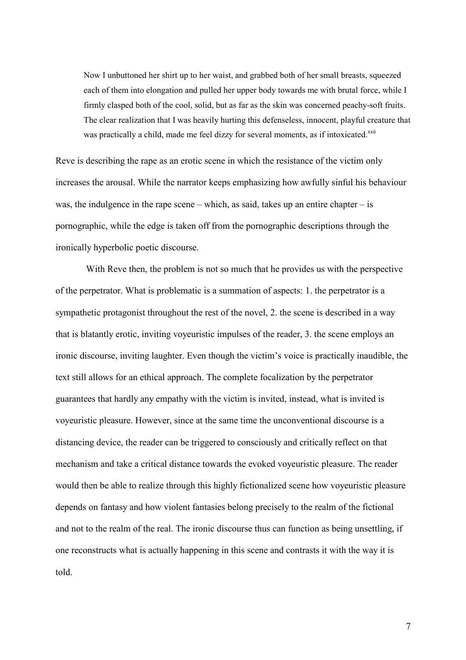Now I unbuttoned her shirt up to her waist, and grabbed both of her small breasts, squeezed each of them into elongation and pulled her upper body towards me with brutal force, while I firmly clasped both of the cool, solid, but as far as the skin was concerned peachy-soft fruits. The clear realization that I was heavily hurting this defenseless, innocent, playful creature that was practically a child, made me feel dizzy for several moments, as if intoxicated.<sup>xxii</sup>

Reve is describing the rape as an erotic scene in which the resistance of the victim only increases the arousal. While the narrator keeps emphasizing how awfully sinful his behaviour was, the indulgence in the rape scene – which, as said, takes up an entire chapter – is pornographic, while the edge is taken off from the pornographic descriptions through the ironically hyperbolic poetic discourse.

 With Reve then, the problem is not so much that he provides us with the perspective of the perpetrator. What is problematic is a summation of aspects: 1. the perpetrator is a sympathetic protagonist throughout the rest of the novel, 2. the scene is described in a way that is blatantly erotic, inviting voyeuristic impulses of the reader, 3. the scene employs an ironic discourse, inviting laughter. Even though the victim's voice is practically inaudible, the text still allows for an ethical approach. The complete focalization by the perpetrator guarantees that hardly any empathy with the victim is invited, instead, what is invited is voyeuristic pleasure. However, since at the same time the unconventional discourse is a distancing device, the reader can be triggered to consciously and critically reflect on that mechanism and take a critical distance towards the evoked voyeuristic pleasure. The reader would then be able to realize through this highly fictionalized scene how voyeuristic pleasure depends on fantasy and how violent fantasies belong precisely to the realm of the fictional and not to the realm of the real. The ironic discourse thus can function as being unsettling, if one reconstructs what is actually happening in this scene and contrasts it with the way it is told.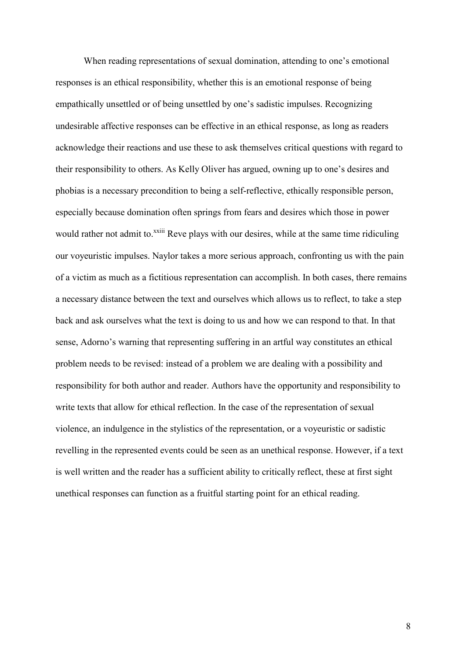When reading representations of sexual domination, attending to one's emotional responses is an ethical responsibility, whether this is an emotional response of being empathically unsettled or of being unsettled by one's sadistic impulses. Recognizing undesirable affective responses can be effective in an ethical response, as long as readers acknowledge their reactions and use these to ask themselves critical questions with regard to their responsibility to others. As Kelly Oliver has argued, owning up to one's desires and phobias is a necessary precondition to being a self-reflective, ethically responsible person, especially because domination often springs from fears and desires which those in power would rather not admit to.<sup>xxiii</sup> Reve plays with our desires, while at the same time ridiculing our voyeuristic impulses. Naylor takes a more serious approach, confronting us with the pain of a victim as much as a fictitious representation can accomplish. In both cases, there remains a necessary distance between the text and ourselves which allows us to reflect, to take a step back and ask ourselves what the text is doing to us and how we can respond to that. In that sense, Adorno's warning that representing suffering in an artful way constitutes an ethical problem needs to be revised: instead of a problem we are dealing with a possibility and responsibility for both author and reader. Authors have the opportunity and responsibility to write texts that allow for ethical reflection. In the case of the representation of sexual violence, an indulgence in the stylistics of the representation, or a voyeuristic or sadistic revelling in the represented events could be seen as an unethical response. However, if a text is well written and the reader has a sufficient ability to critically reflect, these at first sight unethical responses can function as a fruitful starting point for an ethical reading.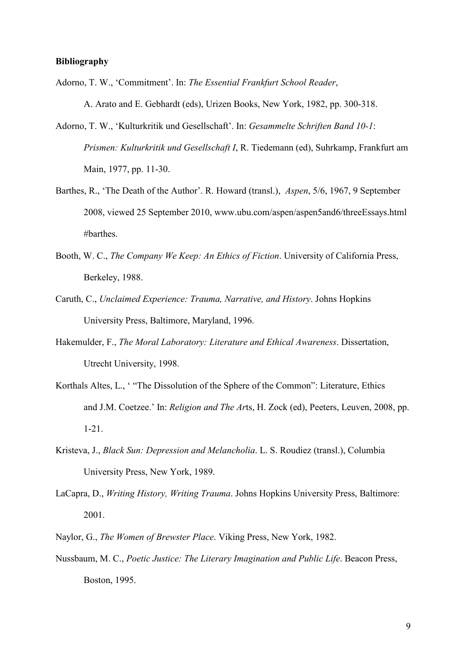## Bibliography

- Adorno, T. W., 'Commitment'. In: The Essential Frankfurt School Reader, A. Arato and E. Gebhardt (eds), Urizen Books, New York, 1982, pp. 300-318.
- Adorno, T. W., 'Kulturkritik und Gesellschaft'. In: Gesammelte Schriften Band 10-1: Prismen: Kulturkritik und Gesellschaft I, R. Tiedemann (ed), Suhrkamp, Frankfurt am Main, 1977, pp. 11-30.
- Barthes, R., 'The Death of the Author'. R. Howard (transl.), Aspen, 5/6, 1967, 9 September 2008, viewed 25 September 2010, www.ubu.com/aspen/aspen5and6/threeEssays.html #barthes.
- Booth, W. C., The Company We Keep: An Ethics of Fiction. University of California Press, Berkeley, 1988.
- Caruth, C., Unclaimed Experience: Trauma, Narrative, and History. Johns Hopkins University Press, Baltimore, Maryland, 1996.
- Hakemulder, F., The Moral Laboratory: Literature and Ethical Awareness. Dissertation, Utrecht University, 1998.
- Korthals Altes, L., ' "The Dissolution of the Sphere of the Common": Literature, Ethics and J.M. Coetzee.' In: Religion and The Arts, H. Zock (ed), Peeters, Leuven, 2008, pp. 1-21.
- Kristeva, J., Black Sun: Depression and Melancholia. L. S. Roudiez (transl.), Columbia University Press, New York, 1989.
- LaCapra, D., Writing History, Writing Trauma. Johns Hopkins University Press, Baltimore: 2001.
- Naylor, G., The Women of Brewster Place. Viking Press, New York, 1982.
- Nussbaum, M. C., Poetic Justice: The Literary Imagination and Public Life. Beacon Press, Boston, 1995.